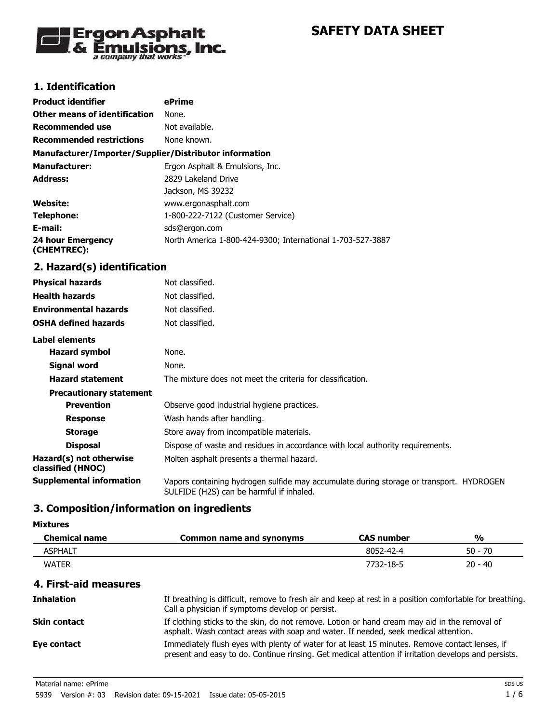

## **1. Identification**

| <b>Product identifier</b>                              | ePrime                                                                         |
|--------------------------------------------------------|--------------------------------------------------------------------------------|
| <b>Other means of identification</b>                   | None.                                                                          |
| <b>Recommended use</b>                                 | Not available.                                                                 |
| <b>Recommended restrictions</b>                        | None known.                                                                    |
| Manufacturer/Importer/Supplier/Distributor information |                                                                                |
| <b>Manufacturer:</b>                                   | Ergon Asphalt & Emulsions, Inc.                                                |
| <b>Address:</b>                                        | 2829 Lakeland Drive                                                            |
|                                                        | Jackson, MS 39232                                                              |
| <b>Website:</b>                                        | www.ergonasphalt.com                                                           |
| <b>Telephone:</b>                                      | 1-800-222-7122 (Customer Service)                                              |
| E-mail:                                                | sds@ergon.com                                                                  |
| <b>24 hour Emergency</b><br>(CHEMTREC):                | North America 1-800-424-9300; International 1-703-527-3887                     |
| 2. Hazard(s) identification                            |                                                                                |
| <b>Physical hazards</b>                                | Not classified.                                                                |
| <b>Health hazards</b>                                  | Not classified.                                                                |
| <b>Environmental hazards</b>                           | Not classified.                                                                |
| <b>OSHA defined hazards</b>                            | Not classified.                                                                |
| <b>Label elements</b>                                  |                                                                                |
| <b>Hazard symbol</b>                                   | None.                                                                          |
| <b>Signal word</b>                                     | None.                                                                          |
| <b>Hazard statement</b>                                | The mixture does not meet the criteria for classification.                     |
| <b>Precautionary statement</b>                         |                                                                                |
| <b>Prevention</b>                                      | Observe good industrial hygiene practices.                                     |
| <b>Response</b>                                        | Wash hands after handling.                                                     |
| <b>Storage</b>                                         | Store away from incompatible materials.                                        |
| <b>Disposal</b>                                        | Dispose of waste and residues in accordance with local authority requirements. |
| Hazard(s) not otherwise<br>classified (HNOC)           | Molten asphalt presents a thermal hazard.                                      |
| <b>Supplemental information</b>                        | Vanors containing hydrogen sulfide may accumulate during storage or transpor   |

**Supplemental information** Vapors containing hydrogen sulfide may accumulate during storage or transport. HYDROGEN SULFIDE (H2S) can be harmful if inhaled.

# **3. Composition/information on ingredients**

#### **Mixtures**

| <b>Chemical name</b> | Common name and synonyms | <b>CAS number</b> | %         |
|----------------------|--------------------------|-------------------|-----------|
| ASPHALT              |                          | 8052-42-4         | $50 - 70$ |
| <b>WATER</b>         |                          | 7732-18-5         | $20 - 40$ |

## **4. First-aid measures**

| <b>Inhalation</b>   | If breathing is difficult, remove to fresh air and keep at rest in a position comfortable for breathing.<br>Call a physician if symptoms develop or persist.                                           |
|---------------------|--------------------------------------------------------------------------------------------------------------------------------------------------------------------------------------------------------|
| <b>Skin contact</b> | If clothing sticks to the skin, do not remove. Lotion or hand cream may aid in the removal of<br>asphalt. Wash contact areas with soap and water. If needed, seek medical attention.                   |
| Eye contact         | Immediately flush eyes with plenty of water for at least 15 minutes. Remove contact lenses, if<br>present and easy to do. Continue rinsing. Get medical attention if irritation develops and persists. |

Material name: ePrime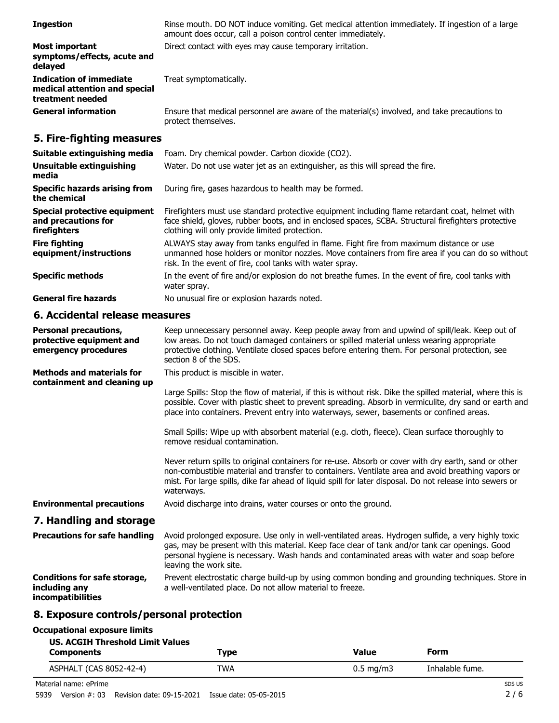| <b>Ingestion</b>                                                                    | Rinse mouth. DO NOT induce vomiting. Get medical attention immediately. If ingestion of a large<br>amount does occur, call a poison control center immediately.                                                                                                                                                                     |
|-------------------------------------------------------------------------------------|-------------------------------------------------------------------------------------------------------------------------------------------------------------------------------------------------------------------------------------------------------------------------------------------------------------------------------------|
| <b>Most important</b><br>symptoms/effects, acute and<br>delayed                     | Direct contact with eyes may cause temporary irritation.                                                                                                                                                                                                                                                                            |
| <b>Indication of immediate</b><br>medical attention and special<br>treatment needed | Treat symptomatically.                                                                                                                                                                                                                                                                                                              |
| <b>General information</b>                                                          | Ensure that medical personnel are aware of the material(s) involved, and take precautions to<br>protect themselves.                                                                                                                                                                                                                 |
| 5. Fire-fighting measures                                                           |                                                                                                                                                                                                                                                                                                                                     |
| Suitable extinguishing media                                                        | Foam. Dry chemical powder. Carbon dioxide (CO2).                                                                                                                                                                                                                                                                                    |
| <b>Unsuitable extinguishing</b><br>media                                            | Water. Do not use water jet as an extinguisher, as this will spread the fire.                                                                                                                                                                                                                                                       |
| <b>Specific hazards arising from</b><br>the chemical                                | During fire, gases hazardous to health may be formed.                                                                                                                                                                                                                                                                               |
| <b>Special protective equipment</b><br>and precautions for<br>firefighters          | Firefighters must use standard protective equipment including flame retardant coat, helmet with<br>face shield, gloves, rubber boots, and in enclosed spaces, SCBA. Structural firefighters protective<br>clothing will only provide limited protection.                                                                            |
| <b>Fire fighting</b><br>equipment/instructions                                      | ALWAYS stay away from tanks engulfed in flame. Fight fire from maximum distance or use<br>unmanned hose holders or monitor nozzles. Move containers from fire area if you can do so without<br>risk. In the event of fire, cool tanks with water spray.                                                                             |
| <b>Specific methods</b>                                                             | In the event of fire and/or explosion do not breathe fumes. In the event of fire, cool tanks with<br>water spray.                                                                                                                                                                                                                   |
| <b>General fire hazards</b>                                                         | No unusual fire or explosion hazards noted.                                                                                                                                                                                                                                                                                         |
| 6. Accidental release measures                                                      |                                                                                                                                                                                                                                                                                                                                     |
| <b>Personal precautions,</b><br>protective equipment and<br>emergency procedures    | Keep unnecessary personnel away. Keep people away from and upwind of spill/leak. Keep out of<br>low areas. Do not touch damaged containers or spilled material unless wearing appropriate<br>protective clothing. Ventilate closed spaces before entering them. For personal protection, see<br>section 8 of the SDS.               |
| <b>Methods and materials for</b><br>containment and cleaning up                     | This product is miscible in water.                                                                                                                                                                                                                                                                                                  |
|                                                                                     | Large Spills: Stop the flow of material, if this is without risk. Dike the spilled material, where this is<br>possible. Cover with plastic sheet to prevent spreading. Absorb in vermiculite, dry sand or earth and<br>place into containers. Prevent entry into waterways, sewer, basements or confined areas.                     |
|                                                                                     | Small Spills: Wipe up with absorbent material (e.g. cloth, fleece). Clean surface thoroughly to<br>remove residual contamination.                                                                                                                                                                                                   |
|                                                                                     | Never return spills to original containers for re-use. Absorb or cover with dry earth, sand or other<br>non-combustible material and transfer to containers. Ventilate area and avoid breathing vapors or<br>mist. For large spills, dike far ahead of liquid spill for later disposal. Do not release into sewers or<br>waterways. |
| <b>Environmental precautions</b>                                                    | Avoid discharge into drains, water courses or onto the ground.                                                                                                                                                                                                                                                                      |
| 7. Handling and storage                                                             |                                                                                                                                                                                                                                                                                                                                     |
| <b>Precautions for safe handling</b>                                                | Avoid prolonged exposure. Use only in well-ventilated areas. Hydrogen sulfide, a very highly toxic<br>gas, may be present with this material. Keep face clear of tank and/or tank car openings. Good<br>personal hygiene is necessary. Wash hands and contaminated areas with water and soap before<br>leaving the work site.       |
| <b>Conditions for safe storage,</b><br>including any<br>incompatibilities           | Prevent electrostatic charge build-up by using common bonding and grounding techniques. Store in<br>a well-ventilated place. Do not allow material to freeze.                                                                                                                                                                       |
|                                                                                     |                                                                                                                                                                                                                                                                                                                                     |

# **8. Exposure controls/personal protection**

# **Occupational exposure limits**

| US. ACGIH Threshold Limit Values |      |                    |                 |  |
|----------------------------------|------|--------------------|-----------------|--|
| <b>Components</b>                | Type | Value              | Form            |  |
| ASPHALT (CAS 8052-42-4)          | TWA  | $0.5 \text{ mg/m}$ | Inhalable fume. |  |

Material name: ePrime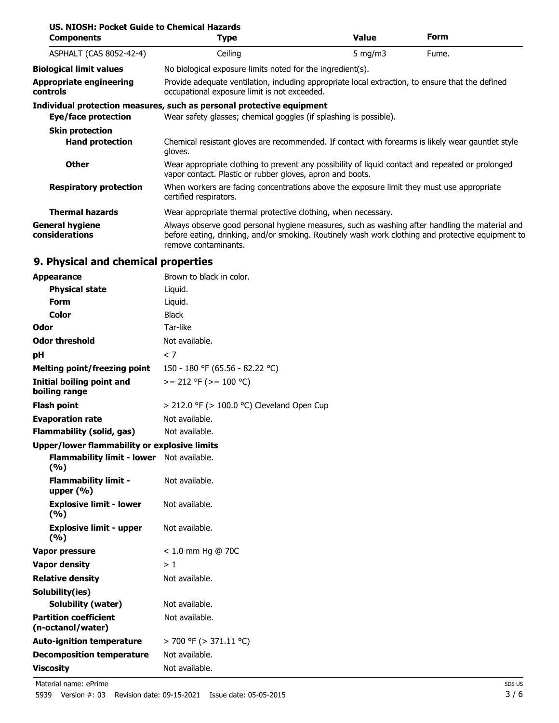| US. NIOSH: Pocket Guide to Chemical Hazards<br><b>Components</b> | Type                                                                                                                                                                                                                        | <b>Value</b> | <b>Form</b> |  |
|------------------------------------------------------------------|-----------------------------------------------------------------------------------------------------------------------------------------------------------------------------------------------------------------------------|--------------|-------------|--|
| ASPHALT (CAS 8052-42-4)                                          | Ceiling                                                                                                                                                                                                                     | 5 $mq/m3$    | Fume.       |  |
| <b>Biological limit values</b>                                   | No biological exposure limits noted for the ingredient(s).                                                                                                                                                                  |              |             |  |
| <b>Appropriate engineering</b><br>controls                       | Provide adequate ventilation, including appropriate local extraction, to ensure that the defined<br>occupational exposure limit is not exceeded.                                                                            |              |             |  |
|                                                                  | Individual protection measures, such as personal protective equipment                                                                                                                                                       |              |             |  |
| Eye/face protection                                              | Wear safety glasses; chemical goggles (if splashing is possible).                                                                                                                                                           |              |             |  |
| <b>Skin protection</b>                                           |                                                                                                                                                                                                                             |              |             |  |
| <b>Hand protection</b>                                           | Chemical resistant gloves are recommended. If contact with forearms is likely wear gauntlet style<br>gloves.                                                                                                                |              |             |  |
| <b>Other</b>                                                     | Wear appropriate clothing to prevent any possibility of liquid contact and repeated or prolonged<br>vapor contact. Plastic or rubber gloves, apron and boots.                                                               |              |             |  |
| <b>Respiratory protection</b>                                    | When workers are facing concentrations above the exposure limit they must use appropriate<br>certified respirators.                                                                                                         |              |             |  |
| <b>Thermal hazards</b>                                           | Wear appropriate thermal protective clothing, when necessary.                                                                                                                                                               |              |             |  |
| <b>General hygiene</b><br>considerations                         | Always observe good personal hygiene measures, such as washing after handling the material and<br>before eating, drinking, and/or smoking. Routinely wash work clothing and protective equipment to<br>remove contaminants. |              |             |  |

# **9. Physical and chemical properties**

| <b>Appearance</b>                                   | Brown to black in color.                        |
|-----------------------------------------------------|-------------------------------------------------|
| <b>Physical state</b>                               | Liquid.                                         |
| <b>Form</b>                                         | Liquid.                                         |
| <b>Color</b>                                        | <b>Black</b>                                    |
| Odor                                                | Tar-like                                        |
| <b>Odor threshold</b>                               | Not available.                                  |
| рH                                                  | < 7                                             |
| <b>Melting point/freezing point</b>                 | 150 - 180 °F (65.56 - 82.22 °C)                 |
| Initial boiling point and<br>boiling range          | $>= 212$ °F ( $>= 100$ °C)                      |
| <b>Flash point</b>                                  | $>$ 212.0 °F ( $>$ 100.0 °C) Cleveland Open Cup |
| <b>Evaporation rate</b>                             | Not available.                                  |
| <b>Flammability (solid, gas)</b>                    | Not available.                                  |
| <b>Upper/lower flammability or explosive limits</b> |                                                 |
| <b>Flammability limit - lower</b><br>(9/6)          | Not available.                                  |
| <b>Flammability limit -</b><br>upper $(% )$         | Not available.                                  |
| <b>Explosive limit - lower</b><br>(9/6)             | Not available.                                  |
| <b>Explosive limit - upper</b><br>(%)               | Not available.                                  |
| Vapor pressure                                      | $< 1.0$ mm Hg @ 70C                             |
| <b>Vapor density</b>                                | >1                                              |
| <b>Relative density</b>                             | Not available.                                  |
| Solubility(ies)                                     |                                                 |
| <b>Solubility (water)</b>                           | Not available.                                  |
| <b>Partition coefficient</b><br>(n-octanol/water)   | Not available.                                  |
| <b>Auto-ignition temperature</b>                    | > 700 °F (> 371.11 °C)                          |
| <b>Decomposition temperature</b>                    | Not available.                                  |
| <b>Viscosity</b>                                    | Not available.                                  |

Material name: ePrime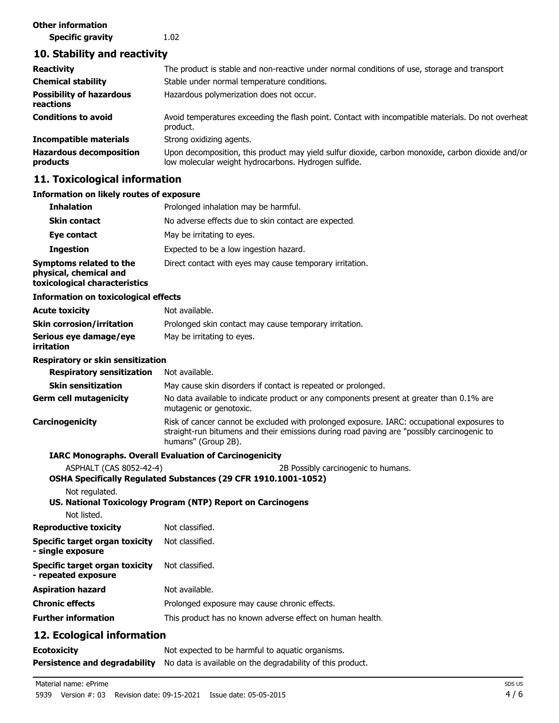#### **Other information**

**Specific gravity** 1.02

## **10. Stability and reactivity**

| <b>Reactivity</b><br><b>Chemical stability</b><br><b>Possibility of hazardous</b> | The product is stable and non-reactive under normal conditions of use, storage and transport<br>Stable under normal temperature conditions.<br>Hazardous polymerization does not occur. |
|-----------------------------------------------------------------------------------|-----------------------------------------------------------------------------------------------------------------------------------------------------------------------------------------|
| reactions                                                                         |                                                                                                                                                                                         |
| <b>Conditions to avoid</b>                                                        | Avoid temperatures exceeding the flash point. Contact with incompatible materials. Do not overheat<br>product.                                                                          |
| Incompatible materials                                                            | Strong oxidizing agents.                                                                                                                                                                |
| <b>Hazardous decomposition</b><br>products                                        | Upon decomposition, this product may yield sulfur dioxide, carbon monoxide, carbon dioxide and/or<br>low molecular weight hydrocarbons. Hydrogen sulfide.                               |

#### **11. Toxicological information**

#### **Information on likely routes of exposure Inhalation** Prolonged inhalation may be harmful. **Skin contact** No adverse effects due to skin contact are expected. **Eye contact** May be irritating to eyes. **Ingestion** Expected to be a low ingestion hazard. **Symptoms related to the physical, chemical and toxicological characteristics** Direct contact with eyes may cause temporary irritation. **Information on toxicological effects Acute toxicity** Not available. **Skin corrosion/irritation** Prolonged skin contact may cause temporary irritation. **Serious eye damage/eye** May be irritating to eyes. **irritation Respiratory or skin sensitization Respiratory sensitization** Not available. **Skin sensitization** May cause skin disorders if contact is repeated or prolonged. No data available to indicate product or any components present at greater than 0.1% are mutagenic or genotoxic. **Germ cell mutagenicity Carcinogenicity** Risk of cancer cannot be excluded with prolonged exposure. IARC: occupational exposures to straight-run bitumens and their emissions during road paving are "possibly carcinogenic to humans" (Group 2B). **IARC Monographs. Overall Evaluation of Carcinogenicity** ASPHALT (CAS 8052-42-4) 2B Possibly carcinogenic to humans. **OSHA Specifically Regulated Substances (29 CFR 1910.1001-1052)** Not regulated. **US. National Toxicology Program (NTP) Report on Carcinogens** Not listed. **Reproductive toxicity** Not classified. **Specific target organ toxicity - single exposure** Not classified. **Specific target organ toxicity - repeated exposure** Not classified. **Aspiration hazard** Not available. **Chronic effects** Prolonged exposure may cause chronic effects. **Further information** This product has no known adverse effect on human health. **12. Ecological information Ecotoxicity Not** expected to be harmful to aquatic organisms. **Persistence and degradability** No data is available on the degradability of this product.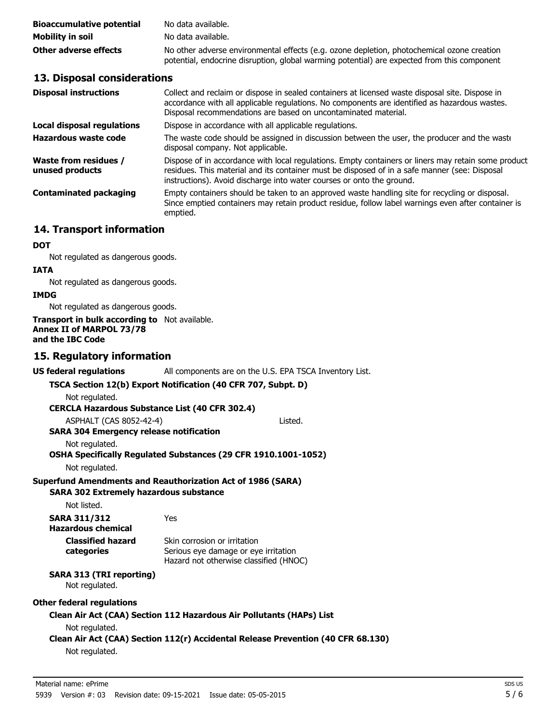| <b>Bioaccumulative potential</b> | No data available.                                                                                                                                                                        |
|----------------------------------|-------------------------------------------------------------------------------------------------------------------------------------------------------------------------------------------|
| Mobility in soil                 | No data available.                                                                                                                                                                        |
| Other adverse effects            | No other adverse environmental effects (e.g. ozone depletion, photochemical ozone creation<br>potential, endocrine disruption, global warming potential) are expected from this component |

## **13. Disposal considerations**

| <b>Disposal instructions</b>                    | Collect and reclaim or dispose in sealed containers at licensed waste disposal site. Dispose in<br>accordance with all applicable regulations. No components are identified as hazardous wastes.<br>Disposal recommendations are based on uncontaminated material.            |
|-------------------------------------------------|-------------------------------------------------------------------------------------------------------------------------------------------------------------------------------------------------------------------------------------------------------------------------------|
| Local disposal regulations                      | Dispose in accordance with all applicable regulations.                                                                                                                                                                                                                        |
| Hazardous waste code                            | The waste code should be assigned in discussion between the user, the producer and the waste<br>disposal company. Not applicable.                                                                                                                                             |
| <b>Waste from residues /</b><br>unused products | Dispose of in accordance with local regulations. Empty containers or liners may retain some product<br>residues. This material and its container must be disposed of in a safe manner (see: Disposal<br>instructions). Avoid discharge into water courses or onto the ground. |
| <b>Contaminated packaging</b>                   | Empty containers should be taken to an approved waste handling site for recycling or disposal.<br>Since emptied containers may retain product residue, follow label warnings even after container is<br>emptied.                                                              |

## **14. Transport information**

#### **DOT**

Not regulated as dangerous goods.

#### **IATA**

Not regulated as dangerous goods.

### **IMDG**

Not regulated as dangerous goods.

#### **Transport in bulk according to** Not available. **Annex II of MARPOL 73/78 and the IBC Code**

## **15. Regulatory information**

| US federal regulations                                        | All components are on the U.S. EPA TSCA Inventory List.                                                        |  |  |
|---------------------------------------------------------------|----------------------------------------------------------------------------------------------------------------|--|--|
| TSCA Section 12(b) Export Notification (40 CFR 707, Subpt. D) |                                                                                                                |  |  |
| Not regulated.                                                |                                                                                                                |  |  |
| <b>CERCLA Hazardous Substance List (40 CFR 302.4)</b>         |                                                                                                                |  |  |
| ASPHALT (CAS 8052-42-4)                                       | Listed.                                                                                                        |  |  |
| <b>SARA 304 Emergency release notification</b>                |                                                                                                                |  |  |
| Not regulated.                                                |                                                                                                                |  |  |
|                                                               | OSHA Specifically Regulated Substances (29 CFR 1910.1001-1052)                                                 |  |  |
| Not regulated.                                                |                                                                                                                |  |  |
|                                                               | <b>Superfund Amendments and Reauthorization Act of 1986 (SARA)</b>                                             |  |  |
| <b>SARA 302 Extremely hazardous substance</b>                 |                                                                                                                |  |  |
| Not listed.                                                   |                                                                                                                |  |  |
| <b>SARA 311/312</b><br><b>Hazardous chemical</b>              | Yes                                                                                                            |  |  |
| <b>Classified hazard</b><br>categories                        | Skin corrosion or irritation<br>Serious eye damage or eye irritation<br>Hazard not otherwise classified (HNOC) |  |  |
| <b>SARA 313 (TRI reporting)</b><br>Not regulated.             |                                                                                                                |  |  |
| <b>Other federal regulations</b>                              |                                                                                                                |  |  |
| Not regulated.                                                | Clean Air Act (CAA) Section 112 Hazardous Air Pollutants (HAPs) List                                           |  |  |
| Not regulated.                                                | Clean Air Act (CAA) Section 112(r) Accidental Release Prevention (40 CFR 68.130)                               |  |  |